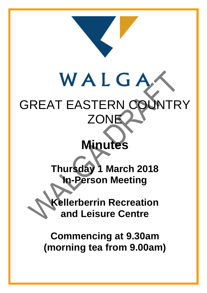

# WALGA GREAT EASTERN COUNTRY **ZONE**

# **Minutes**

**Thursday 1 March 2018 In-Person Meeting**

**Kellerberrin Recreation and Leisure Centre**

**Commencing at 9.30am (morning tea from 9.00am)**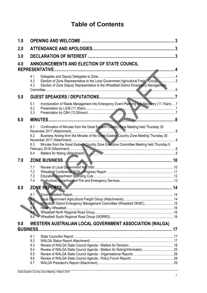## **Table of Contents**

| 1.0 |                                                                                                                                                                                                                                                                                                                                           |   |
|-----|-------------------------------------------------------------------------------------------------------------------------------------------------------------------------------------------------------------------------------------------------------------------------------------------------------------------------------------------|---|
| 2.0 |                                                                                                                                                                                                                                                                                                                                           | 3 |
| 3.0 |                                                                                                                                                                                                                                                                                                                                           |   |
| 4.0 | ANNOUNCEMENTS AND ELECTION OF STATE COUNCIL<br><b>REPRESENTATIVE</b>                                                                                                                                                                                                                                                                      |   |
|     | 4.1<br>Election of Zone Representative to the Local Government Agricultural Freight Group 5<br>4.2<br>Election of Zone Deputy Representative to the Wheatbelt District Emergency Management<br>4.3                                                                                                                                        |   |
| 5.0 |                                                                                                                                                                                                                                                                                                                                           |   |
|     | Incorporation of Waste Management into Emergency Event Planning and Recovery (11.15am) 7<br>5.1<br>5.2<br>5.3                                                                                                                                                                                                                             |   |
| 6.0 |                                                                                                                                                                                                                                                                                                                                           |   |
|     | Confirmation of Minutes from the Great Eastern Country Zone Meeting held Thursday 30<br>6.1<br>Business Arising from the Minutes of the Great Eastern Country Zone Meeting Thursday 30<br>6.2<br>6.3<br>Minutes from the Great Eastern Country Zone Executive Committee Meeting held Thursday 8<br>Matters for Noting (Attachment)<br>6.4 |   |
| 7.0 |                                                                                                                                                                                                                                                                                                                                           |   |
|     | 7.1<br>7.2<br>7.3<br>7.4                                                                                                                                                                                                                                                                                                                  |   |
| 8.0 |                                                                                                                                                                                                                                                                                                                                           |   |
|     | 8.1<br>8.2<br>Wheatbelt District Emergency Management Committee (Wheatbelt DEMC) 15<br>8.3<br>8.4<br>8.5<br>8.6                                                                                                                                                                                                                           |   |
| 9.0 | WESTERN AUSTRALIAN LOCAL GOVERNMENT ASSOCIATION (WALGA)<br><b>BUSINESS.</b>                                                                                                                                                                                                                                                               |   |
|     | 9.1<br>9.2<br>9.3<br>9.4<br>9.5<br>9.6<br>9.7                                                                                                                                                                                                                                                                                             |   |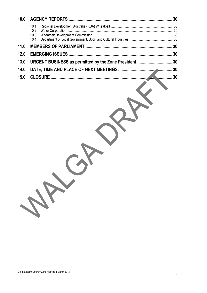| 10.0 |                           |  |  |  |
|------|---------------------------|--|--|--|
|      | 10.1<br>10.2 <sub>1</sub> |  |  |  |
|      | 10.4                      |  |  |  |
| 11.0 |                           |  |  |  |
| 12.0 |                           |  |  |  |
| 13.0 |                           |  |  |  |
| 14.0 |                           |  |  |  |
| 15.0 |                           |  |  |  |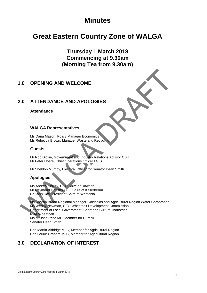## **Minutes**

## **Great Eastern Country Zone of WALGA**

**Thursday 1 March 2018 Commencing at 9.30am (Morning Tea from 9.30am)**

## <span id="page-3-0"></span>**1.0 OPENING AND WELCOME**

## <span id="page-3-1"></span>**2.0 ATTENDANCE AND APOLOGIES**

#### **Attendance**

#### **WALGA Representatives**

Ms Dana Mason, Policy Manager Economics Ms Rebecca Brown, Manager Waste and Recycling

#### **Guests**

Mr Rob Dickie, Government and Industry Relations Advisor CBH Mr Peter Hoare, Chief Operations Officer LGIS

Mr Sheldon Mumby, Electoral Officer for Senator Dean Smith

#### **Apologies**

Ms Andrea Selvey, CEO Shire of Dowerin Mr Raymond Griffiths CEO Shire of Kellerberrin Cr Karin Day, President Shire of Westonia

Ms Sharon Broad Regional Manager Goldfields and Agricultural Region Water Corporation Ms Wendy Newman, CEO Wheatbelt Development Commission Department of Local Government, Sport and Cultural Industries RDA Wheatbelt Ms Melissa Price MP, Member for Durack Senator Dean Smith

Hon Martin Aldridge MLC, Member for Agricultural Region Hon Laurie Graham MLC, Member for Agricultural Region

## <span id="page-3-2"></span>**3.0 DECLARATION OF INTEREST**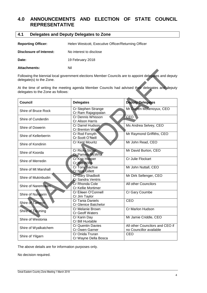## <span id="page-4-0"></span>**4.0 ANNOUNCEMENTS AND ELECTION OF STATE COUNCIL REPRESENTATIVE**

<span id="page-4-1"></span>

| 4.1 | Delegates and Deputy Delegates to Zone |  |
|-----|----------------------------------------|--|
|-----|----------------------------------------|--|

Reporting Officer: Helen Westcott, Executive Officer/Returning Officer

| Disclosure of Interest: | No interest to disclose |
|-------------------------|-------------------------|
| Date:                   | 19 February 2018        |

Attachments: Nil

Following the biennial local government elections Member Councils are to appoint delegates and deputy delegate(s) to the Zone.

At the time of writing the meeting agenda Member Councils had advised their delegates and deputy delegates to the Zone as follows:

| <b>Council</b>             | <b>Delegates</b>                                 | <b>Deputy Delegates</b>                                    |  |  |
|----------------------------|--------------------------------------------------|------------------------------------------------------------|--|--|
| <b>Shire of Bruce Rock</b> | Cr Stephen Strange<br>Cr Ram Rajagopalan         | Mr Darren Mollenoyux, CEO                                  |  |  |
| Shire of Cunderdin         | Cr Dennis Whisson<br>Cr Alison Harris            | <b>CEO</b>                                                 |  |  |
| Shire of Dowerin           | Cr Darrel Hudson<br><b>Cr Brenton Walsh</b>      | Ms Andrea Selvey, CEO                                      |  |  |
| Shire of Kellerberrin      | Cr Rod Forsyth<br>Cr Scott O'Neill               | Mr Raymond Griffiths, CEO                                  |  |  |
| Shire of Kondinin          | Cr Kent Mouritz                                  | Mr John Read, CEO                                          |  |  |
| Shire of Koorda            | <b>Cr Ricky Storer</b><br><b>Cr Pamela McWha</b> | Mr David Burton, CEO                                       |  |  |
| Shire of Merredin          | Cr Ken Hooper<br><b>Cr Mal Willis</b>            | Cr Julie Flockart                                          |  |  |
| Shire of Mt Marshall       | Cr Tony Sachse<br><b>Cr Nick Gillett</b>         | Mr John Nuttall, CEO                                       |  |  |
| Shire of Mukinbudin        | Cr Gary Shadbolt<br>Cr Sandra Ventris            | Mr Dirk Sellenger, CEO                                     |  |  |
| Shire of Narembeen         | Cr Rhonda Cole<br>Cr Kellie Mortimer             | All other Councilors                                       |  |  |
| Shire of Nungarin          | Cr Eileen O'Connell<br>Cr Jim Taylor             | Cr Gary Coumbe                                             |  |  |
| Shire of Tammin            | Cr Tania Daniels<br><b>Cr Glenice Batchelor</b>  | <b>CEO</b>                                                 |  |  |
| Shire of Trayning          | Cr Melanie Brown<br><b>Cr Geoff Waters</b>       | Cr Marlon Hudson                                           |  |  |
| Shire of Westonia          | Cr Karin Day<br>Cr Bill Huxtable                 | Mr Jamie Criddle, CEO                                      |  |  |
| Shire of Wyalkatchem       | <b>Cr Quentin Davies</b><br>Cr Owen Garner       | All other Councilors and CEO if<br>no Councillor available |  |  |
| Shire of Yilgarn           | Cr Onida Truran<br>Cr Wayne Della Bosca          | CEO                                                        |  |  |

The above details are for information purposes only.

No decision required.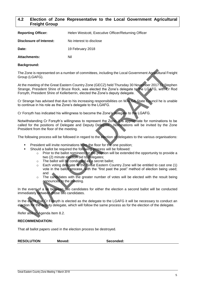#### <span id="page-5-0"></span>**4.2 Election of Zone Representative to the Local Government Agricultural Freight Group**

| <b>Reporting Officer:</b> | Helen Westcott, Executive Officer/Returning Officer |
|---------------------------|-----------------------------------------------------|
| Disclosure of Interest:   | No interest to disclose                             |
| Date:                     | 19 February 2018                                    |
| <b>Attachments:</b>       | Nil                                                 |

#### **Background:**

The Zone is represented on a number of committees, including the Local Government Agricultural Freight Group (LGAFG).

At the meeting of the Great Eastern Country Zone (GECZ) held Thursday 30 November 2017 Cr Stephen Strange, President Shire of Bruce Rock, was elected the Zone's delegate to the LGAFG, with Cr Rod Forsyth, President Shire of Kellerberrin, elected the Zone's deputy delegate.

Cr Strange has advised that due to his increasing responsibilities on WALGA State Council he is unable to continue in his role as the Zone's delegate to the LGAFG.

Cr Forsyth has indicated his willingness to become the Zone's delegate to the LGAFG.

Notwithstanding Cr Forsyth's willingness to represent the Zone, it is appropriate for nominations to be called for the positions of Delegate and Deputy Delegate. Nominations will be invited by the Zone President from the floor of the meeting.

The following process will be followed in regard to the election of delegates to the various organisations:

- President will invite nominations from the floor for the one position;
- Should a ballot be required the following process will be followed:
	- o Prior to the ballot nominees for the position will be extended the opportunity to provide a two (2) minute election bid to delegates;
	- o The ballot will be conducted as a secret ballot;
	- o Each voting delegate to the Great Eastern Country Zone will be entitled to cast one (1) vote in the ballot process, with the "first past the post" method of election being used; and
	- o The candidates with the greater number of votes will be elected with the result being announced to the meeting.

In the event of a tie between two candidates for either the election a second ballot will be conducted immediately between those two candidates.

In the event that Cr Forsyth is elected as the delegate to the LGAFG it will be necessary to conduct an election for the deputy delegate, which will follow the same process as for the election of the delegate.

Refer also to Agenda Item 8.2.

#### **RECOMMENDATION:**

That all ballot papers used in the election process be destroyed.

| <b>RESOLUTION</b> | Moved: | Seconded: |
|-------------------|--------|-----------|
|-------------------|--------|-----------|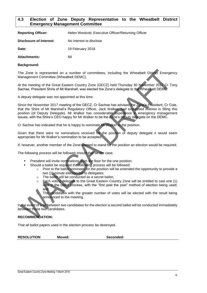#### <span id="page-6-0"></span>**4.3 Election of Zone Deputy Representative to the Wheatbelt District Emergency Management Committee**

| <b>Reporting Officer:</b> | Helen Westcott, Executive Officer/Returning Officer |
|---------------------------|-----------------------------------------------------|
| Disclosure of Interest:   | No interest to disclose                             |
| Date:                     | 19 February 2018                                    |
| Attachments:              | Nil                                                 |

#### **Background:**

The Zone is represented on a number of committees, including the Wheatbelt District Emergency Management Committee (Wheatbelt DEMC).

At the meeting of the Great Eastern Country Zone (GECZ) held Thursday 30 November 2017 Cr Tony Sachse, President Shire of Mt Marshall, was elected the Zone's delegate to the Wheatbelt DEMC.

A deputy delegate was not appointed at this time.

Since the November 2017 meeting of the GECZ, Cr Sachse has advised the Zone's President, Cr Cole, that the Shire of Mt Marshall's Regulatory Officer, Jack Walker, had expressed interest in filling this position (of Deputy Delegate). Mr Walker has considerable experience in emergency management issues, with the Shire's CEO happy for Mr Walker to be the Zone's deputy delegate on the DEMC.

Cr Sachse has indicated that he is happy to nominate Mr Walker to the position.

Given that there were no nominations received for the position of deputy delegate it would seem appropriate for Mr Walker's nomination to be accepted.

If, however, another member of the Zone wanted to stand for the position an election would be required.

The following process will be followed should that be the case.

- President will invite nominations from the floor for the one position;
	- Should a ballot be required the following process will be followed:
		- $\circ$  Prior to the ballot nominees for the position will be extended the opportunity to provide a two (2) minute election bid to delegates;
		- o The ballot will be conducted as a secret ballot;
		- Each voting delegate to the Great Eastern Country Zone will be entitled to cast one (1) vote in the ballot process, with the "first past the post" method of election being used; and

The candidates with the greater number of votes will be elected with the result being announced to the meeting.

In the event of a tie between two candidates for the election a second ballot will be conducted immediately between those two candidates.

#### **RECOMMENDATION:**

That all ballot papers used in the election process be destroyed.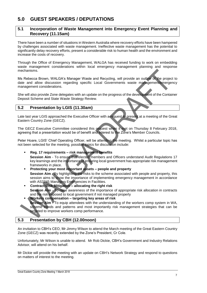## <span id="page-7-0"></span>**5.0 GUEST SPEAKERS / DEPUTATIONS**

#### <span id="page-7-1"></span>**5.1 Incorporation of Waste Management into Emergency Event Planning and Recovery (11.15am)**

There have been a number of situations in Western Australia where recovery efforts have been hampered by challenges associated with waste management. Ineffective waste management has the potential to significantly delay recovery efforts, present a considerable risk to human health and the environment and increase the costs of recovery.

Through the Office of Emergency Management, WALGA has received funding to work on embedding waste management considerations within local emergency management planning and response mechanisms.

Ms Rebecca Brown, WALGA's Manager Waste and Recycling, will provide an outline of the project to date and allow discussion regarding specific Local Governments waste management/emergency management considerations.

She will also provide Zone delegates with an update on the progress of the development of the Container Deposit Scheme and State Waste Strategy Review.

#### <span id="page-7-2"></span>**5.2 Presentation by LGIS (11.30am)**

Late last year LGIS approached the Executive Officer with a request to present at a meeting of the Great Eastern Country Zone (GECZ).

The GECZ Executive Committee considered this request when it met on Thursday 8 February 2018, agreeing that a presentation would be of benefit and interest to the Zone's Member Councils.

Peter Hoare, LGIS' Chief Operating Officer, will be attending the meeting. Whilst a particular topic has not been selected for the meeting, possible topics for discussion include:

- **Reg. 17 requirements – risk management benefits Session Aim** - To ensure that elected members and Officers understand Audit Regulations 17 key learnings and the importance of ensuring local government has appropriate risk management frameworks in place.
- **Protecting your most important assets – people and property Session Aim - By highlighting the risks to the scheme associated with people and property, this** session aims to show the importance of implementing emergency management in accordance with AS3745 Managing Emergencies in Facilities.
- **Contract Risk Mitigation – allocating the right risk Session Aim** - To raise awareness of the importance of appropriate risk allocation in contracts and the risk exposed to local government if not managed properly
- **Workers compensation – targeting key areas of risk Session Aim**  $\cdot$  To equip attendees with the understanding of the workers comp system in WA, scheme trends and patterns and most importantly risk management strategies that can be targeted to improve workers comp performance.

#### <span id="page-7-3"></span>**5.3 Presentation by CBH (12.00noon)**

An invitation to CBH's CEO, Mr Jimmy Wilson to attend the March meeting of the Great Eastern Country Zone (GECZ) was recently extended by the Zone's President, Cr Cole.

Unfortunately, Mr Wilson is unable to attend. Mr Rob Dickie, CBH's Government and Industry Relations Advisor, will attend on his behalf.

Mr Dickie will provide the meeting with an update on CBH's Network Strategy and respond to questions on matters of interest to the meeting.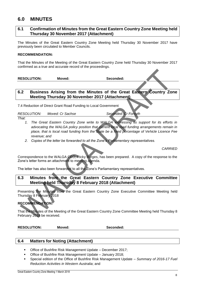## <span id="page-8-0"></span>**6.0 MINUTES**

#### <span id="page-8-1"></span>**6.1 Confirmation of Minutes from the Great Eastern Country Zone Meeting held Thursday 30 November 2017 (Attachment)**

The Minutes of the Great Eastern Country Zone Meeting held Thursday 30 November 2017 have previously been circulated to Member Councils.

#### **RECOMMENDATION:**

That the Minutes of the Meeting of the Great Eastern Country Zone held Thursday 30 November 2017 confirmed as a true and accurate record of the proceedings.

RESOLUTION: Moved: **Seconded:** 

#### <span id="page-8-2"></span>**6.2 Business Arising from the Minutes of the Great Eastern Country Zone Meeting Thursday 30 November 2017 (Attachment)**

7.4 Reduction of Direct Grant Road Funding to Local Government

*RESOLUTION: Moved: Cr Sachse Seconded: Cr Forsyth*

- *That:*
	- *1. The Great Eastern Country Zone write to WALGA expressing its support for its efforts in advocating the WALGA policy position that current local road funding arrangements remain in place, that is local road funding from the State be a fixed percentage of Vehicle Licence Fee revenue; and*
	- *2. Copies of the letter be forwarded to all the Zone's Parliamentary representatives.*

*CARRIED*

Correspondence to the WALGA CEO, Ricky Burges, has been prepared. A copy of the response to the Zone's letter forms an attachment to meeting agenda.

The letter has also been forwarded to all the Zone's Parliamentary representatives.

#### <span id="page-8-3"></span>**6.3 Minutes from the Great Eastern Country Zone Executive Committee Meeting held Thursday 8 February 2018 (Attachment)**

Presenting the Minutes from the Great Eastern Country Zone Executive Committee Meeting held Thursday 8 February 2018

#### **RECOMMENDATION:**

That the Minutes of the Meeting of the Great Eastern Country Zone Committee Meeting held Thursday 8 February 2018 be received.

**RESOLUTION: Moved: Seconded:** 

#### <span id="page-8-4"></span>**6.4 Matters for Noting (Attachment)**

- Office of Bushfire Risk Management Update December 2017;
- Office of Bushfire Risk Management Update January 2018;
- Special edition of the Office of Bushfire Risk Management Update *Summary of 2016-17 Fuel Reduction Activities in Western Australia*; and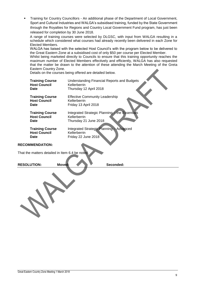Training for Country Councillors - An additional phase of the Department of Local Government, Sport and Cultural Industries and WALGA's subsidised training, funded by the State Government through the Royalties for Regions and Country Local Government Fund program, has just been released for completion by 30 June 2018.

A range of training courses were selected by DLGSC, with input from WALGA resulting in a schedule which considered what courses had already recently been delivered in each Zone for Elected Members.

WALGA has liaised with the selected Host Council's with the program below to be delivered to the Great Eastern Zone at a subsidised cost of only \$50 per course per Elected Member.

Whilst being marketed directly to Councils to ensure that this training opportunity reaches the maximum number of Elected Members effectively and efficiently, WALGA has also requested that the matter be drawn to the attention of these attending the March Meeting of the Greta Eastern Country Zone.

Details on the courses being offered are detailed below.

| <b>Training Course</b> | Understanding Financial Reports and Budgets    |
|------------------------|------------------------------------------------|
| <b>Host Council</b>    | Kellerberrin                                   |
| <b>Date</b>            | Thursday 12 April 2018                         |
| <b>Training Course</b> | <b>Effective Community Leadership</b>          |
| <b>Host Council</b>    | Kellerberrin                                   |
| Date                   | Friday 13 April 2018                           |
| <b>Training Course</b> | Integrated Strategic Planning - the Essentials |
| <b>Host Council</b>    | Kellerberrin                                   |
| <b>Date</b>            | Thursday 21 June 2018                          |
| <b>Training Course</b> | Integrated Strategic Planning - Advanced       |
| <b>Host Council</b>    | Kellerberrin                                   |
| <b>Date</b>            | Friday 22 June 2018                            |

#### **RECOMMENDATION:**

That the matters detailed in Item 6.4 be noted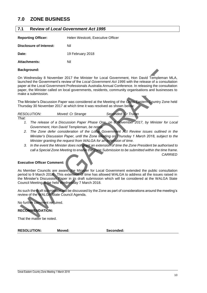## <span id="page-10-0"></span>**7.0 ZONE BUSINESS**

#### <span id="page-10-1"></span>**7.1 Review of** *Local Government Act 1995*

| <b>Reporting Officer:</b> | Helen Westcott, Executive Officer |  |  |  |
|---------------------------|-----------------------------------|--|--|--|
| Disclosure of Interest:   | Nil                               |  |  |  |
| Date:                     | 19 February 2018                  |  |  |  |
| <b>Attachments:</b>       | Nil                               |  |  |  |

#### **Background:**

On Wednesday 8 November 2017 the Minister for Local Government, Hon David Templeman MLA, launched the Government's review of the *Local Government Act 1995* with the release of a consultation paper at the Local Government Professionals Australia Annual Conference. In releasing the consultation paper, the Minister called on local governments, residents, community organisations and businesses to make a submission.

The Minister's Discussion Paper was considered at the Meeting of the Greta Eastern Country Zone held Thursday 30 November 2017 at which time it was resolved as shown below:

| <i>RESOLUTION:</i> |                                                                                       | Moved: Cr Strange |  | Seconded: Cr Truran |  |  |
|--------------------|---------------------------------------------------------------------------------------|-------------------|--|---------------------|--|--|
| That:              |                                                                                       |                   |  |                     |  |  |
|                    | The release of a Discussion Paper Phase One, on 8 Movember 2017 by Minister for Local |                   |  |                     |  |  |

- *1. The release of a Discussion Paper Phase One, on 8 November 2017, by Minister for Local Government, Hon David Templeman, be noted.*
- *2. The Zone defer consideration of the Local Government Act Review issues outlined in the Minister's Discussion Paper, until the Zone Meeting on Thursday 1 March 2018, subject to the Minister granting the request from WALGA for an extension of time.*
- *3. In the event the Minister does not grant an extension of time the Zone President be authorised to call a Special Zone Meeting to enable the Zone Submission to be submitted within the time frame. CARRIED*

#### **Executive Officer Comment:**

As Member Councils are aware, the Minister for Local Government extended the public consultation period to 9 March 2018. This extension of time has allowed WALGA to address all the issues raised in the Minister's Discussion Paper in its draft submission which will be considered at the WALGA State Council Meeting to be held Wednesday 7 March 2018.

As such the draft submission will be discussed by the Zone as part of considerations around the meeting's review of the WALGA State Council Agenda.

No further comment required.

**RECOMMENDATION:**

That the matter be noted.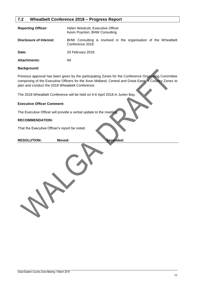#### <span id="page-11-0"></span>**7.2 Wheatbelt Conference 2018 – Progress Report**

| <b>Reporting Officer:</b> | Helen Westcott, Executive Officer<br>Kevin Poynton, BHW Consulting                 |  |  |
|---------------------------|------------------------------------------------------------------------------------|--|--|
| Disclosure of Interest:   | BHW Consulting is involved in the organisation of the Wheatbelt<br>Conference 2018 |  |  |
| Date:                     | 20 February 2018                                                                   |  |  |
| <b>Attachments:</b>       | Nil                                                                                |  |  |

#### **Background:**

Previous approval has been given by the participating Zones for the Conference Organising Committee comprising of the Executive Officers for the Avon Midland, Central and Great Eastern Country Zones to plan and conduct the 2018 Wheatbelt Conference.

The 2018 Wheatbelt Conference will be held on 5-6 April 2018 in Jurien Bay.

#### **Executive Officer Comment:**

The Executive Officer will provide a verbal update to the meeting.

#### **RECOMMENDATION:**

That the Executive Officer's report be noted.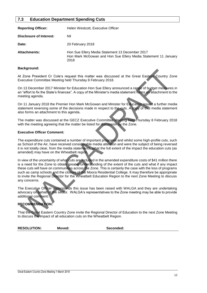#### <span id="page-12-0"></span>**7.3 Education Department Spending Cuts**

| <b>Reporting Officer:</b> | Helen Westcott, Executive Officer                                                                                         |
|---------------------------|---------------------------------------------------------------------------------------------------------------------------|
| Disclosure of Interest:   | Nil                                                                                                                       |
| Date:                     | 20 February 2018                                                                                                          |
| <b>Attachments:</b>       | Hon Sue Ellery Media Statement 13 December 2017<br>Hon Mark McGowan and Hon Sue Ellery Media Statement 11 January<br>2018 |

#### **Background:**

At Zone President Cr Cole's request this matter was discussed at the Great Eastern Country Zone Executive Committee Meeting held Thursday 8 February 2018.

On 13 December 2017 Minister for Education Hon Sue Ellery announced a range of budget measures in an "effort to fix the State's finances". A copy of the Minister's media statement forms an attachment to the meeting agenda.

On 11 January 2018 the Premier Hon Mark McGowan and Minister for Education issued a further media statement reversing some of the decisions made in respect to the cuts. A copy of that media statement also forms an attachment to this agenda.

The matter was discussed at the GECZ Executive Committee Meeting held Thursday 8 February 2018 with the meeting agreeing that the matter be listed for discussion by the Zone.

#### **Executive Officer Comment:**

The expenditure cuts contained a number of important programs and whilst some high-profile cuts, such as School of the Air, have received considerable media attention and were the subject of being reversed it is not totally clear, from the media statements, what the full extent of the impact the education cuts (as amended) may have on the Wheatbelt region.

In view of the uncertainty of what cuts are included in the amended expenditure costs of \$41 million there is a need for the Zone to obtain greater understanding of the extent of the cuts and what if any impact these cuts will have on communities across the Zone. This is certainly the case with the loss of programs such as camp schools and the closure of the Moora Residential College. It may therefore be appropriate to invite the Regional Director for the Wheatbelt Education Region to the next Zone Meeting to discuss any concerns.

The Executive Officer understands this issue has been raised with WALGA and they are undertaking advocacy on behalf of the sector. WALGA's representatives to the Zone meeting may be able to provide additional comment.

### **RECOMMENDATION:**

That the Great Eastern Country Zone invite the Regional Director of Education to the next Zone Meeting to discuss the impact of all education cuts on the Wheatbelt Region.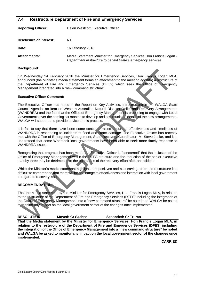#### <span id="page-13-0"></span>**7.4 Restructure Department of Fire and Emergency Services**

| <b>Reporting Officer:</b> | Helen Westcott, Executive Officer                                                                                                   |
|---------------------------|-------------------------------------------------------------------------------------------------------------------------------------|
| Disclosure of Interest:   | Nil                                                                                                                                 |
| Date:                     | 16 February 2018                                                                                                                    |
| <b>Attachments:</b>       | Media Statement Minister for Emergency Services Hon Francis Logan -<br>Department restructure to benefit State's emergency services |

#### **Background:**

On Wednesday 14 February 2018 the Minister for Emergency Services, Hon Francis Logan MLA, announced (the Minister's media statement forms an attachment to the meeting agenda) a restructure of the Department of Fire and Emergency Services (DFES) which sees the Office of Emergency Management integrated into a "new command structure".

#### **Executive Officer Comment:**

The Executive Officer has noted in the Report on Key Activities, Infrastructure in the WALGA State Council Agenda, an item on Western Australian Natural Disaster Relief and Recovery Arrangements (WANDRRA) and the fact that the Office of Emergency Management is proposing to engage with Local Governments over the coming six months to develop and communicate details of the new arrangements. WALGA will support and provide advice to this process.

It is fair to say that there have been some concerns raised about the effectiveness and timeliness of WANDRRA in responding to incidents of flood and storm damage. The Executive Officer has recently met with the Office of Emergency Management, State Recovery Coordinator, Mr Steve Joske, and it is understood that some Wheatbelt local governments have been able to seek more timely response to WANDRRA issues.

Recognising that progress has been made the Executive Officer is "concerned" that the inclusion of the Office of Emergency Management within the DFES structure and the reduction of the senior executive staff by three may be detrimental to the operations of the recovery effort after an incident.

Whilst the Minister's media statement highlights the positives and cost savings from the restructure it is difficult to comprehend that there will be no change to effectiveness and interaction with local government in regard to recovery issues.

#### **RECOMMENDATION:**

That the Media statement by the Minister for Emergency Services, Hon Francis Logan MLA, in relation to the restructure of the Department of Fire and Emergency Services (DFES) including the integration of the Office of Emergency Management into a "new command structure" be noted and WALGA be asked to monitor any impact on the local government sector of the changes once implemented.

#### **RESOLUTION: Moved: Cr Sachse Seconded: Cr Truran**

**That the Media statement by the Minister for Emergency Services, Hon Francis Logan MLA, in relation to the restructure of the Department of Fire and Emergency Services (DFES) including the integration of the Office of Emergency Management into a "new command structure" be noted and WALGA be asked to monitor any impact on the local government sector of the changes once implemented.**

**CARRIED**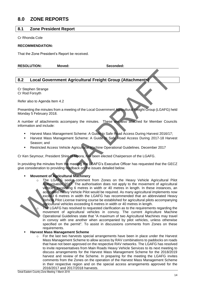## <span id="page-14-0"></span>**8.0 ZONE REPORTS**

#### <span id="page-14-1"></span>**8.1 Zone President Report**

Cr Rhonda Cole

#### **RECOMMENDATION:**

That the Zone President's Report be received.

**RESOLUTION: Moved: Seconded:**

### <span id="page-14-2"></span>**8.2 Local Government Agricultural Freight Group (Attachments)**

Cr Stephen Strange Cr Rod Forsyth

Refer also to Agenda Item 4.2

Presenting the minutes from a meeting of the Local Government Agricultural Freight Group (LGAFG) held Monday 5 February 2018.

A number of attachments accompany the minutes. These are also attached for Member Councils information and include:

- Harvest Mass Management Scheme: A Guide to Safe Road Access During Harvest 2016/17;
- Harvest Mass Management Scheme: A Guide to Safe Road Access During 2017-18 Harvest Season; and
- Restricted Access Vehicle Agricultural Machine Operational Guidelines. December 2017

Cr Ken Seymour, President Shire of Moora, has been elected Chairperson of the LGAFG.

In providing the minutes from the meeting the LGAFG's Executive Officer has requested that the GECZ give consideration to providing feedback on the issues detailed below.

#### **Movement of Agricultural Machinery**

o The LGAFG seeks comment from Zones on the Heavy Vehicle Agricultural Pilot Authorisation 2017. The authorisation does not apply to the movement of agricultural vehicles exceeding 6 metres in width or 40 metres in length. In these instances, an accredited Heavy Vehicle Pilot would be required. As many agricultural implements now exceed 6 metres in width the LGAFG has recommended that an abbreviated Heavy Vehicle Pilot License training course be established for agricultural pilots accompanying agricultural vehicles exceeding 6 metres in width or 40 metres in length.

The LGAFG has resolved to requested clarification as to the requirements regarding the movement of agricultural vehicles in convoy. The current Agriculture Machine Operational Guidelines state that "A maximum of two Agricultural Machines may travel in convoy with one another when accompanied by pilot vehicles, unless otherwise specified on the permit". To assist in discussions comments from Zones on these requirements.

#### **Harvest Mass Management Scheme**

o For the last two harvests special arrangements have been in place under the Harvest Mass Management Scheme to allow access by RAV combinations to paddocks on roads that have not been approved on the respective RAV networks. The LGAFG has resolved to invite representatives from Main Roads Heavy Vehicle Services to its next meeting to discuss arrangements for the Harvest Mass Management Scheme for the 2018/2019 harvest and review of the Scheme. In preparing for the meeting the LGAFG invites comments from the Zones on the operation of the Harvest Mass Management Scheme in their respective region and on the special access arrangements approved for the 2016/2017 and 2017/2018 harvests.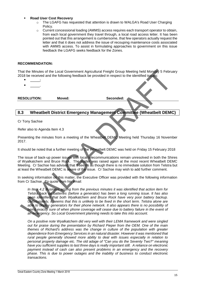#### **Road User Cost Recovery**

- o The LGAFG has requested that attention is drawn to WALGA's Road User Charging Policy.
- $\circ$  Current concessional loading (AMMS) access requires each transport operator to obtain, from each local government they travel through, a local road access letter. It has been pointed out that this arrangement is cumbersome, that few operators actually request the letter and that it does not address the issue of recouping maintenance costs associated with AMMS access. To assist in formulating approaches to government on this issue feedback the LGAFG seeks feedback for the Zones.

#### **RECOMMENDATION:**

That the Minutes of the Local Government Agricultural Freight Group Meeting held Monday 5 February 2018 be received and the following feedback be provided in respect to the identified issues:

- **\_\_**\_\_\_;
- $-$

**RESOLUTION: Moved: Seconded:**

#### <span id="page-15-0"></span>**8.3 Wheatbelt District Emergency Management Committee (Wheatbelt DEMC)**

Cr Tony Sachse

Refer also to Agenda Item 4.3

Presenting the minutes from a meeting of the Wheatbelt DEMC Meeting held Thursday 16 November 2017.

It should be noted that a further meeting of the Wheatbelt DEMC was held on Friday 15 February 2018

The issue of back-up power issues with local telecommunications remain unresolved in both the Shires of Wyalkatchem and Bruce Rock. The matter was raised again at the most recent Wheatbelt DEMC Meeting. Cr Sachse has advised that it seems as though there is no immediate solution from Telstra but at least the Wheatbelt DEMC is aware of the issue. Cr Sachse may wish to add further comment.

In seeking information on this matter, the Executive Officer was provided with the following information from Cr Sachse. To quote from his email:

*In Item 4.2 Business arising from the previous minutes it was identified that action item for Telstra back up batteries (before a generator) has been a long running issue. It has also*  been identified that both Wyalkatchem and Bruce Rock have very poor battery backup. *Unfortunately, it seems that this is unlikely to be fixed in the short term. Telstra alone are*  able to deploy generators for their phone network. It also appears there is no possibility of being exactly sure of when phone coverage will cease due to battery failure in the event of *an emergency. So Local Government planning needs to take this into account.*

*On a positive note Wyalkatchem did very well with their LEMA framework and were singled out for praise during the presentation by Richard Pieper from the OEM. One of the main themes of Richard's address was the change in culture of the population with greater dependence from Emergency Services in an natural disaster. However it was mentioned that rural people generally showed more ability to deal with issues especially in relation to personal property damage etc. The old adage of "Can you do the Seventy Two?" meaning have you sufficient supplies to last three days is really important still. A reliance on electronic payment instead of cash can also present problems in an emergency and the recovery phase. This is due to power outages and the inability of business to conduct electronic transactions.*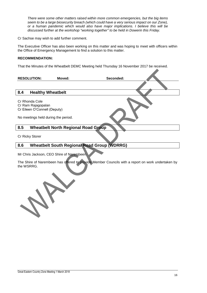*There were some other matters raised within more common emergencies, but the big items seem to be a large biosecurity breach (which could have a very serious impact on our Zone), or a human pandemic which would also have major implications. I believe this will be discussed further at the workshop "working together" to be held in Dowerin this Friday.*

Cr Sachse may wish to add further comment.

The Executive Officer has also been working on this matter and was hoping to meet with officers within the Office of Emergency Management to find a solution to this matter.

#### **RECOMMENDATION:**

That the Minutes of the Wheatbelt DEMC Meeting held Thursday 16 November 2017 be received.

<span id="page-16-0"></span>

|     | <b>RESOLUTION:</b>                                                   | Moved: | Seconded:                                  |  |
|-----|----------------------------------------------------------------------|--------|--------------------------------------------|--|
|     |                                                                      |        |                                            |  |
| 8.4 | <b>Healthy Wheatbelt</b>                                             |        |                                            |  |
|     | Cr Rhonda Cole<br>Cr Ram Rajagopalan<br>Cr Eileen O'Connell (Deputy) |        |                                            |  |
|     | No meetings held during the period.                                  |        |                                            |  |
| 8.5 |                                                                      |        | <b>Wheatbelt North Regional Road Group</b> |  |

<span id="page-16-1"></span>Cr Ricky Storer

### <span id="page-16-2"></span>**8.6 Wheatbelt South Regional Road Group (WDRRG)**

Mr Chris Jackson, CEO Shire of Narembeen

The Shire of Narembeen has offered to provide Member Councils with a report on work undertaken by the WSRRG.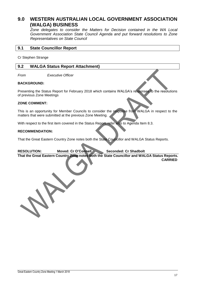## <span id="page-17-0"></span>**9.0 WESTERN AUSTRALIAN LOCAL GOVERNMENT ASSOCIATION (WALGA) BUSINESS**

*Zone delegates to consider the Matters for Decision contained in the WA Local Government Association State Council Agenda and put forward resolutions to Zone Representatives on State Council*

#### <span id="page-17-1"></span>**9.1 State Councillor Report**

Cr Stephen Strange

#### <span id="page-17-2"></span>**9.2 WALGA Status Report Attachment)**

*From Executive Officer*

#### **BACKGROUND:**

Presenting the Status Report for February 2018 which contains WALGA's responses to the resolutions of previous Zone Meetings

#### **ZONE COMMENT:**

This is an opportunity for Member Councils to consider the response from WALGA in respect to the matters that were submitted at the previous Zone Meeting.

With respect to the first item covered in the Status Report, refer also to Agenda Item 8.3.

#### **RECOMMENDATION:**

That the Great Eastern Country Zone notes both the State Councillor and WALGA Status Reports.

#### **RESOLUTION: Moved: Cr O'Connell Seconded: Cr Shadbolt**

**That the Great Eastern Country Zone notes both the State Councillor and WALGA Status Reports. CARRIED**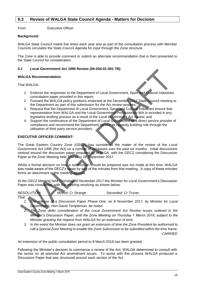#### <span id="page-18-0"></span>**9.3 Review of WALGA State Council Agenda - Matters for Decision**

From Executive Officer

#### **Background:**

WALGA State Council meets five times each year and as part of the consultation process with Member Councils circulates the State Council Agenda for input through the Zone structure.

The Zone is able to provide comment or submit an alternate recommendation that is then presented to the State Council for consideration.

#### **5.1 Local Government Act 1995 Review (05-034-01-001 TB)**

#### **WALGA Recommendation**

That WALGA:

- 1. Endorse the responses to the Department of Local Government, Sport and Cultural Industries consultation paper provided in this report;
- 2. Forward the WALGA policy positions endorsed at the December 2017 State Council meeting to the Department as part of this submission for the Act review process;
- 3. Request that the Department of Local Government, Sport and Cultural Industries ensure that representation from WALGA and the Local Government Professionals WA is included in any legislative drafting process as a result of the Local Government Act review; and
- 4. Support the continuance of the Department of Local Government as a direct service provider of compliance and recommend the Department service its capacity building role through the utilisation of third party service providers.

#### **EXECUTIVE OFFICER COMMENT:**

The Great Eastern Country Zone (GECZ) has considered the matter of the review of the *Local Government Act 1995* (the Act) on a number of occasions over the past six months. Initial discussions centred around the discussion paper prepared by WALGA, with the GECZ considering the Discussion Paper at the Zone Meeting held Thursday 28 September 2017.

Whilst a formal decision on how a submission should be prepared was not made at this time, WALGA was made aware of the GECZ's views by way of the minutes from that meeting. A copy of these minutes forms an attachment to the meeting agenda.

At the GECZ Meeting held Thursday 30 November 2017 the Minister for Local Government's Discussion Paper was considered, with the meeting resolving as shown below:

| <b>RESOLUTION:</b> | Moved: Cr Strange |  |        | Seconded: Cr Truran |  |          |  |  |
|--------------------|-------------------|--|--------|---------------------|--|----------|--|--|
| That:              | $\sim$            |  | $\sim$ | $\sim$ $\sim$       |  | $\cdots$ |  |  |

- *1. The release of a Discussion Paper Phase One, on 8 November 2017, by Minister for Local Government, Hon David Templeman, be noted.*
	- *2. The Zone defer consideration of the Local Government Act Review issues outlined in the Minister's Discussion Paper, until the Zone Meeting on Thursday 1 March 2018, subject to the Minister granting the request from WALGA for an extension of time.*
	- *3. In the event the Minister does not grant an extension of time the Zone President be authorised to call a Special Zone Meeting to enable the Zone Submission to be submitted within the time frame. CARRIED*

An extension of the public consultation period to 9 March 2018 has been granted.

Following the Minister's decision to commence a review of the Act, WALGA determined to consult with the sector on all potential Act amendment issues. To assist with this process WALGA produced a Discussion Paper that was structured around each section of the Act.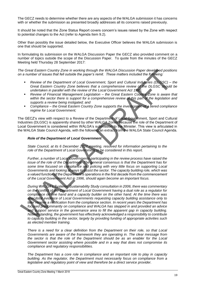The GECZ needs to determine whether there are any aspects of the WALGA submission it has concerns with or whether the submission as presented broadly addresses all its concerns raised previously.

It should be noted that the Zone Status Report covers concern's issues raised by the Zone with respect to potential changes to the Act (refer to Agenda Item 9.2).

Other than possibly the issue detailed below, the Executive Officer believes the WALGA submission is one that should be supported.

In formulating its submission on the WALGA Discussion Paper the GECZ also provided comment on a number of topics outside the scope of the Discussion Paper. To quote from the minutes of the GECZ Meeting held Thursday 28 September 2017:

*The Great Eastern Country Zone in working through the WALGA Discussion Paper developed positions on a number of issues that fell outside the paper's remit. These matters included the following:*

- *Review of the Department of Local Government, Sport and Cultural Industries (DLGSC) – the Great Eastern Country Zone believes that a comprehensive review of the DLGSC should be undertaken in parallel with the review of the Local Government Act 1995;*
- *Review of Financial Management Legislation – the Great Eastern Country Zone is aware that within the sector there is support for a comprehensive review of this part of the legislation and supports a review being instigated; and*
- *Compliance – the Great Eastern Country Zone supports the investigation of a tiered compliance regime for Local Government;*

The GECZ's view with respect to a Review of the Department of Local Government, Sport and Cultural Industries (DLGSC) is apparently shared by other WALGA Zones because the role of the Department of Local Government is considered within WALGA's submission to the Minister. This view is articulated in the WALGA State Council Agenda, with the following an extract from the WALGA State Council Agenda.

#### *Role of the Department of Local Government*

*State Council, at its 6 December 2017 meeting, resolved for information pertaining to the role of the Department of Local Government to be considered in this report.*

*Further, a number of Local Governments participating in the review process have raised the issue of the role of the Department. The general consensus is that the Department has for some time focused on compliance and policing with very little focus on supporting Local Governments and looking at ways to assist the sector. The capacity building role, which was a valued function of the Department's operations in the first decade from the commencement of the Local Government Act in 1996, should again become an important focus.*

*During WALGA's Systemic Sustainability Study consultation in 2006, there was commentary on the conflict of the Department of Local Government having a dual role as a regulator for compliance on one hand and a capacity builder on the other hand. At the time there was anecdotal evidence of Local Governments requesting capacity building assistance only to later receive a notification from the compliance section. In recent years the Department has focused predominantly on compliance and WALGA has stepped in and provided an advice and support service in the governance area to fill the apparent gap in capacity building. Notwithstanding, the government has effectively acknowledged a responsibility to contribute to capacity building in the sector, largely by providing funding of appropriate activities such as elected member training.*

*There is a need for a clear definition from the Department on their role, so that Local Governments are aware of the framework they are operating in. The clear message from the sector is that the role of the Department should be as an enabler for the Local Government sector assisting where possible and in a way that does not compromise its compliance and regulatory responsibilities.*

*The Department has a core role in compliance and an important role to play in capacity building. As the regulator, the Department must necessarily focus on compliance from a legislative and regulatory point of view and therefore be a direct service provider.*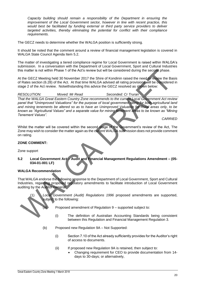*Capacity building should remain a responsibility of the Department in ensuring the improvement of the Local Government sector, however in line with recent practice, this would best be facilitated by funding external or third party service providers to deliver targeted activities, thereby eliminating the potential for conflict with their compliance requirements.*

The GECZ needs to determine whether the WALGA position is sufficiently strong.

It should be noted that the comment around a review of financial management legislation is covered in WALGA State Council Agenda Item 5.2.

The matter of investigating a tiered compliance regime for Local Government is raised within WALGA's submission. In a conversation with the Department of Local Government, Sport and Cultural Industries this matter is not within Phase 1 of the Act's review but will be considered during the second phase.

At the GECZ Meeting held 30 November 2017 the Shire of Kondinin raised the need to review the Basis of Rates section (6.28) of the Act. At that time WALGA advised all rating provisions will be considered in stage 2 of the Act review. Notwithstanding this advice the GECZ resolved as shown below:

*RESOLUTION: Moved: Mr Read Seconded: Cr Truran*

*That the WALGA Great Eastern Country Zone recommends to the current Local Government Act review panel that "Unimproved Valuations" for the purpose of local government rating for both agricultural land and mining tenements be altered so as to have an Unimproved Valuation for Rural areas only, to be known as "Agricultural Values" and a separate value for mining tenement areas to be known as "Mining Tenement Values".*

*CARRIED*

Whilst the matter will be covered within the second stage of the Government's review of the Act, The Zone may wish to consider the matter again as the current WALGA submission does not provide comment on rating.

#### **ZONE COMMENT:**

Zone support

**5.2 Local Government Act – Audit and Financial Management Regulations Amendment – (05- 034-01-001 LF)**

#### **WALGA Recommendation**

That WALGA endorse the following response to the Department of Local Government, Sport and Cultural Industries, regarding proposed regulatory amendments to facilitate introduction of Local Government auditing by the Auditor General:

(1) *Local Government (Audit) Regulations 1996* proposed amendments are supported, subject to the following:



Proposed amendment of Regulation 9 – supported subject to:

- (i) The definition of Australian Accounting Standards being consistent between this Regulation and Financial Management Regulation 3.
- (b) Proposed new Regulation 9A Not Supported:
	- (i) Section 7.10 of the Act already sufficiently provides for the Auditor's right of access to documents.
	- (ii) If proposed new Regulation 9A is retained, then subject to:
		- Changing requirement for CEO to provide documentation from 14 days to 30-days; or alternatively,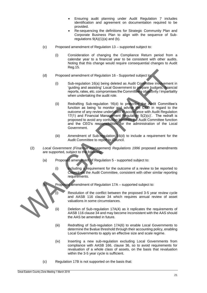- Ensuring audit planning under Audit Regulation 7 includes identification and agreement on documentation required to be provided.
- Re-sequencing the definitions for Strategic Community Plan and Corporate Business Plan to align with the sequence of Subregulations  $9(A)(1)(a)$  and (b).
- (c) Proposed amendment of Regulation 13 supported subject to:
	- (i) Consideration of changing the Compliance Return period from a calendar year to a financial year to be consistent with other audits. Noting that this change would require consequential changes to Audit Reg.15.
- (d) Proposed amendment of Regulation 16 Supported subject to:
	- (i) Sub-regulation 16(a) being deleted as Audit Committee involvement in 'guiding and assisting' Local Government to prepare budgets, financial reports, rates, etc. compromises the Committee's objectivity / impartiality when undertaking the audit role.
	- (ii) Redrafting Sub-regulation 16(d) to prescribe the Audit Committee's function as being 'to monitor and advise the CEO in regard to the outcome of any review undertaken in accordance with Audit Regulation 17(1) and Financial Management Regulation 5(2)(c)'. The redraft is proposed to avoid any confusion between the Audit Committee function and the CEO's responsibilities for the administration of the Local Government.
	- (iii) Amendment of Sub-regulation 16(d) to include a requirement for the Audit Committee to report to Council.
- (2) *Local Government (Financial Management) Regulations 1996* proposed amendments are supported, subject to the following:
	- (a) Proposed amendment of Regulation 5 supported subject to:
		- (i) Including a requirement for the outcome of a review to be reported to Council via the Audit Committee, consistent with other similar reporting requirements.
		- Proposed amendment of Regulation 17A supported subject to:
			- Resolution of the conflict between the proposed 3-5 year review cycle and AASB 116 clause 34 which requires annual review of asset valuations in some circumstances.
		- (ii) Deletion of Sub-regulation 17A(4) as it replicates the requirements of AASB 116 clause 34 and may become inconsistent with the AAS should the AAS be amended in future.
		- (iii) Redrafting of Sub-regulation 17A(6) to enable Local Governments to determine the \$value threshold through their accounting policy, enabling Local Governments to apply an effective size and scale regime.
		- (iv) Inserting a new sub-regulation excluding Local Governments from compliance with AASB 166, clause 36, so to avoid requirements for revaluation of a whole class of assets, on the basis that revaluation within the 3-5 year cycle is sufficient.
	- (c) Regulation 17B is not supported on the basis that: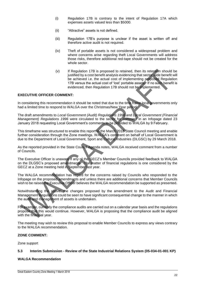- (i) Regulation 17B is contrary to the intent of Regulation 17A which expenses assets valued less than \$5000.
- (ii) "Attractive" assets is not defined.
- (iii) Regulation 17B's purpose is unclear if the asset is written off and therefore active audit is not required.
- (iv) Theft of portable assets is not considered a widespread problem and where concerns arise regarding theft Local Governments will address those risks, therefore additional red-tape should not be created for the whole sector.
- (v) If Regulation 17B is proposed to retained, then its retention should be justified by a cost benefit analysis evidencing that sector wide benefit will be achieved i.e. the actual cost of implementing proposed Regulation 17B versus the actual cost of 'lost' portable assets. If no such benefit is evidenced, then Regulation 17B should not be implemented.

#### **EXECUTIVE OFFICER COMMENT:**

In considering this recommendation it should be noted that due to the time frame local governments only had a limited time to respond to WALGA over the Christmas/New Year period.

The draft amendments to *Local Government (Audit) Regulations 1996 and Local Government (Financial Management) Regulations 1996* were circulated to the sector for comment in an Infopage dated 23 January 2018 requesting Local Government's comments to be provided to WALGA by 9 February.

This timeframe was structured to enable this report to the March 2018 State Council meeting and enable further consideration through the Zone meetings. WALGA's comment on behalf of Local Government is due to the Department of Local Government, Sport and Cultural Industries (DLGSC) by 29 March 2018.

As the reported provided in the State Council Agenda notes, WALGA received comment from a number of Councils.

The Executive Officer is unaware if any of the GECZ's Member Councils provided feedback to WALGA on the DLGSC's proposed amendments. The matter of financial regulations is one considered by the GECZ at a Zone meeting held in September last year.

The WALGA recommendation has regard for the concerns raised by Councils who responded to the Infopage on the proposed amendments and unless there are additional concerns that Member Councils wish to be raised the Executive Officer believes the WALGA recommendation be supported as presented.

Notwithstanding the above, the changes proposed by the amendment to the Audit and Financial Management Regulations could be seen to have significant consequential change to the manner in which the audit and management of assets is undertaken.

For example, currently the compliance audits are carried out on a calendar year basis and the regulations propose that this would continue. However, WALGA is proposing that the compliance audit be aligned with the financial year.

The meeting may wish to review this proposal to enable Member Councils to express any views contrary to the WALGA recommendation.

#### **ZONE COMMENT:**

Zone support

#### **5.3 Interim Submission - Review of the State Industrial Relations System (05-034-01-001 KP)**

#### **WALGA Recommendation**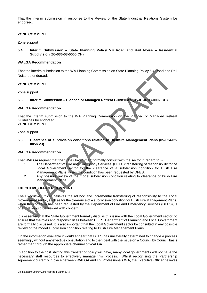That the interim submission in response to the Review of the State Industrial Relations System be endorsed.

#### **ZONE COMMENT:**

#### Zone support

**5.4 Interim Submission – State Planning Policy 5.4 Road and Rail Noise – Residential Subdivision (05-036-03-0060 CH)**

#### **WALGA Recommendation**

That the interim submission to the WA Planning Commission on State Planning Policy 5.4 Road and Rail Noise be endorsed.

#### **ZONE COMMENT:**

Zone support

#### **5.5 Interim Submission – Planned or Managed Retreat Guidelines (05-01-0703-0002 CH)**

#### **WALGA Recommendation**

That the interim submission to the WA Planning Commission on the Planned or Managed Retreat Guidelines be endorsed. **ZONE COMMENT:**

#### Zone support

**5.6 Clearance of subdivision conditions relating to Bushfire Management Plans (05-024-02- 0056 VJ)**

#### **WALGA Recommendation**

That WALGA request that the State Government formally consult with the sector in regard to: -

- 1. The Department of Fire and Emergency Services' (DFES) transferring of responsibility to the Local Government sector for the clearance of a subdivision condition for Bush Fire Management Plans, when the condition has been requested by DFES.
- 2. Any possible review of the model subdivision condition relating to clearance of Bush Fire Management Plans.

#### **EXECUTIVE OFFICER COMMENT:**

The Executive Officer believes the ad hoc and incremental transferring of responsibility to the Local Government sector, such as for the clearance of a subdivision condition for Bush Fire Management Plans, when the condition has been requested by the Department of Fire and Emergency Services (DFES), is one that should be viewed with concern.

It is essential that the State Government formally discuss this issue with the Local Government sector, to ensure that the roles and responsibilities between DFES, Department of Planning and Local Government are formally discussed. It is also important that the Local Government sector be consulted in any possible review of the model subdivision condition relating to Bush Fire Management Plans.

On the information available it would appear that DFES has unilaterally determined to change a process seemingly without any effective consultation and to then deal with the issue on a Council by Council basis rather than through the appropriate channel of WALGA.

In addition to the cost shifting this transfer of policy will have, many local governments will not have the necessary staff resources to effectively manage this process. Whilst recognising the Partnership Agreement currently in place between WALGA and LG Professionals WA, the Executive Officer believes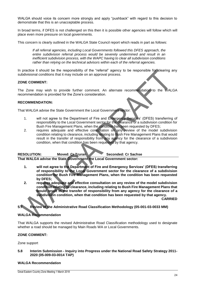WALGA should voice its concern more strongly and apply "pushback" with regard to this decision to demonstrate that this is an unacceptable process.

In broad terms, if DFES is not challenged on this then it is possible other agencies will follow which will place even more pressure on local governments.

This concern is clearly outlined in the WALGA State Council report which reads in part as follows:

*If all referral agencies, including Local Governments followed this DFES approach, the entire subdivision referral process would be severely undermined and result in an inefficient subdivision process, with the WAPC having to clear all subdivision conditions rather than relying on the technical advisors within each of the referral agencies.*

In practice it should be the responsibility of the "referral" agency to be responsible for clearing any subdivisional conditions that it may include on an approval process.

#### **ZONE COMMENT:**

The Zone may wish to provide further comment. An alternate recommendation to the WALGA recommendation is provided for the Zone's consideration.

#### **RECOMMENDATION:**

That WALGA advise the State Government the Local Government sector:

- 1. will not agree to the Department of Fire and Emergency Services' (DFES) transferring of responsibility to the Local Government sector for the clearance of a subdivision condition for Bush Fire Management Plans, when the condition has been requested by DFES;
- 2. requires adequate and effective consultation on any review of the model subdivision condition relating to clearance, including relating to Bush Fire Management Plans that would result in the transfer of responsibility from any agency for the clearance of a subdivision condition, when that condition has been requested by that agency.

| <b>RESOLUTION:</b> | Moved: Cr Truran                                                    | Seconded: Cr Sachse |
|--------------------|---------------------------------------------------------------------|---------------------|
|                    | That WALCA advise the State Covernment the Local Covernment sector: |                     |

Local Government sector:

- **1. will not agree to the Department of Fire and Emergency Services' (DFES) transferring of responsibility to the Local Government sector for the clearance of a subdivision condition for Bush Fire Management Plans, when the condition has been requested by DFES;**
- **2. requires adequate and effective consultation on any review of the model subdivision condition relating to clearance, including relating to Bush Fire Management Plans that would result in the transfer of responsibility from any agency for the clearance of a subdivision condition, when that condition has been requested by that agency.**

**CARRIED**

**5.7 Review of the Administrative Road Classification Methodology (05-001-03-0033 MM)**

#### **WALGA Recommendation**

That WALGA supports the revised Administrative Road Classification methodology used to designate whether a road should be managed by Main Roads WA or Local Governments.

#### **ZONE COMMENT:**

Zone support

**5.8 Interim Submission - Inquiry into Progress under the National Road Safety Strategy 2011- 2020 (05-009-03-0014 TAP)**

#### **WALGA Recommendation**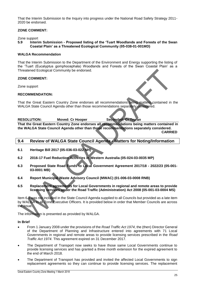That the Interim Submission to the Inquiry into progress under the National Road Safety Strategy 2011- 2020 be endorsed.

#### **ZONE COMMENT:**

Zone support

**5.9 Interim Submission - Proposed listing of the 'Tuart Woodlands and Forests of the Swan Coastal Plain' as a Threatened Ecological Community (05-038-01-001MD)**

#### **WALGA Recommendation**

That the Interim Submission to the Department of the Environment and Energy supporting the listing of the 'Tuart (Eucalyptus gomphocephala) Woodlands and Forests of the Swan Coastal Plain' as a Threatened Ecological Community be endorsed.

#### **ZONE COMMENT:**

Zone support

#### **RECOMMENDATION:**

That the Great Eastern Country Zone endorses all recommendations being matters contained in the WALGA State Council Agenda other than those recommendations separately considered.

**RESOLUTION: Moved: Cr Hooper Seconded: Cr Truran That the Great Eastern Country Zone endorses all recommendations being matters contained in the WALGA State Council Agenda other than those recommendations separately considered. CARRIED**

- <span id="page-25-0"></span>**9.4 Review of WALGA State Council Agenda - Matters for Noting/Information**
- **6.1 Heritage Bill 2017 (05-036-03-022 NH)**
- **6.2 2016-17 Fuel Reduction Activities in Western Australia (05-024-03-0035 MP)**
- **6.3 Proposed State Road Funds to Local Government Agreement 2017/18 - 2022/23 (05-001- 03-0001 MB)**
- **6.4 Report Municipal Waste Advisory Council (MWAC) (01-006-03-0008 RNB)**
- **6.5 Replacement agreements for Local Governments in regional and remote areas to provide licensing services under the Road Traffic (Administration) Act 2008 (05-001-03-0004 MS)**

Item 6.5 was not included in the State Council Agenda supplied to all Councils but provided as a late item by WALGA to all Zone Executive Officers. It is provided below in order that Member Councils are across the issue.

The information is presented as provided by WALGA.

#### **In Brief**

- From 1 January 2008 under the provisions of the *Road Traffic Act 1974*, the (then) Director General of the Department of Planning and Infrastructure entered into agreements with 71 Local Governments in regional and remote areas to provide licensing services prescribed in the *Road Traffic Act 1974*. This agreement expired on 31 December 2017.
- The Department of Transport now seeks to have those same Local Governments continue to provide licensing services and has granted a three month extension for the expired agreement to the end of March 2018.
- The Department of Transport has provided and invited the affected Local Governments to sign replacement agreements so they can continue to provide licensing services. The replacement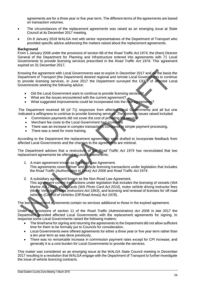agreements are for a three year or five year term. The different terms of the agreements are based on transaction volumes.

- The circumstances of the replacement agreements was raised as an emerging issue at State Council at its December 2017 meeting.
- On 8 January 2018 WALGA met with senior representatives of the Department of Transport who provided specific advice addressing the matters raised about the replacement agreements.

#### **Background**

From 1 January 2008 under the provisions of section 6B of the *Road Traffic Act 1974*, the (then) Director General of the Department for Planning and Infrastructure entered into agreements with 71 Local Governments to provide licensing services prescribed in the *Road Traffic Act 1974*. This agreement expired on 31 December 2017.

Knowing the agreement with Local Governments was to expire in December 2017 and on the basis the Department of Transport (the Department) desired regional and remote Local Governments to continue to provide licensing services, in June 2017 the Department surveyed the CEOs of affected Local Governments seeking the following advice:

- Did the Local Government want to continue to provide licensing services?
- What are the issues encountered with the current agreement?
- What suggested improvements could be incorporated into the new agreements?

The Department received 56 (of 71) responses from affected Local Governments and all but one indicated a willingness to continue to provide licensing services. The common issues raised included:

- Commission payments did not cover the cost of providing the service.
- Merchant fee costs to the Local Government had increased.
- There was an increase in complex transactions compared to simple payment processing.
- There was a need for more training.

According to the Department the replacement agreements were drafted to incorporate feedback from affected Local Governments and the changes to the agreements are minimal.

The Department advises that a restructure of the *Road Traffic Act 1974* has necessitated that two replacement agreements be offered to Local Governments:

- 1. A main agreement known as the Road Law Agreement. This agreements covers driver and vehicle licensing transactions under legislation that includes the *Road Traffic (Authorisation to Drive) Act 2008* and *Road Traffic Act 1974*.
- 2. A subsidiary agreement known as the Non-Road Law Agreement. This agreement covers transactions under legislation that includes the licensing of vessels (*WA Marine Act 1982*)*,* photo cards (*WA Photo Card Act 2014*)*,* motor vehicle driving instructor fees (*Motor Vehicles Drivers Instructors Act 1963*), and licensing and renewal of licenses for off road vehicles (*Control of Vehicles (Off Road Areas) Act 1978*).

The two replacement agreements contain no services additional to those in the expired agreement.

Under the provisions of section 11 of the *Road Traffic (Administration) Act 2008* in late 2017 the Department provided affected Local Governments with the replacement agreements for signing. In response some Local Governments raised the following matters:

- The timeframe for signing and returning the agreements to the Department did not allow sufficient time for them to be formally put to Councils for consideration.
- Local Governments were offered agreements for either a three year or five year term rather than a ten year term as was done previously.
- There was no remarkable increase in commission payment rates except for CPI increase; and generally it is a cost burden for Local Governments to provide the services.

This matter was considered as an emerging issue at the WALGA State Council meeting in December 2017 resulting in a resolution that WALGA engage with the Department of Transport to further investigate the issue of vehicle licencing contracts.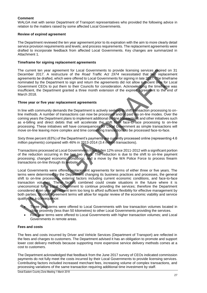#### **Comment**

WALGA met with senior Department of Transport representatives who provided the following advice in relation to the matters raised by some affected Local Governments.

#### **Review of expired agreement**

The Department reviewed the ten year agreement prior to its expiration with the aim to more clearly detail service provision requirements and levels; and process requirements. The replacement agreements were drafted to incorporate feedback from affected Local Governments. Key changes are summarized in Attachment 1.

#### **Timeframe for signing replacement agreements**

The current ten year agreement for Local Governments to provide licensing services expired on 31 December 2017. A restructure of the *Road Traffic Act 1974* necessitated that two replacement agreements be drafted, which were offered to Local Governments for signing in late 2017. The timeframe nominated by the Department to sign and return the agreements did not allow sufficient time for Local Government CEOs to put them to their Councils for consideration. Acknowledging the timeframe was insufficient, the Department granted a three month extension of the expired agreement to the end of March 2018.

#### **Three year or five year replacement agreements**

In line with community demands the Department is actively seeking to shift transaction processing to online methods. A number of transactions can now be processed and/or paid via on-line modes. Over the coming years the Department plans to implement additional on-line transactions and other initiatives such as e-billing and direct debits that will accelerate the shift from face-to-face processing to on-line processing. These initiatives will have consequences for Local Government as simple transactions will move on-line leaving more complex and time consuming transactions to be processed face-to-face.

Sixty three percent (63%) of the Department's payments are currently processed online (representing 4.6 million payments) compared with 46% in 2013-2014 (3.4 million transactions).

Transactions processed at Local Governments have fallen 12% since 2011-2012 with a significant portion of the reduction occurring in the last two years. The reduction is due to the shift to on-line payment processing; changed economic conditions; and a move by the WA Police Force to process firearm transactions on-line through its website.

Local Governments were offered replacement agreements for terms of either three or five years. The terms were determined by the Department changing its business practices and processes, the general shift to on-line processing, external factors including current economic conditions, and face-to-face transaction volumes. These factors combined could create situations in the future where it is uneconomical for a Local Government to continue providing the services; therefore the Department considered a ten year agreement term too long to afford sufficient flexibility for effective management by both parties. Shorter agreement terms will allow for regular review of the economic viability and service quality. As a consequence:

- Three year terms were offered to Local Governments with low transaction volumes located in close proximity (less than 50 kilometres) to other Local Governments providing the services.
- Five year terms were offered to Local Governments with higher transaction volumes; and Local Governments in remote areas.

#### **Fees and costs**

The fees and costs incurred by Driver and Vehicle Services (Department of Transport) are reflected in the fees and charges to customers. The Department advised it has an obligation to promote and support lower cost delivery methods because supporting more expensive service delivery methods comes at a cost to customers.

The Department acknowledged that feedback from the June 2017 survey of CEOs indicated commission payments do not fully meet the costs incurred by their Local Governments to provide licensing services. Contributing factors included increased merchant fees, increasing volume of complex transactions, and processing variations of the same transaction requiring additional time investment by staff.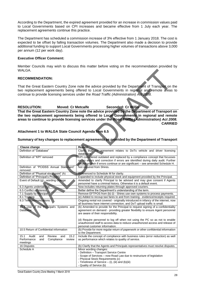According to the Department, the expired agreement provided for an increase in commission values paid to Local Governments based on CPI increases and became effective from 1 July each year. The replacement agreements continue this practice.

The Department has scheduled a commission increase of 3% effective from 1 January 2018. The cost is expected to be offset by falling transaction volumes. The Department also made a decision to provide additional funding to support Local Governments processing higher volumes of transactions above 3,000 per annum (12 per work day).

#### **Executive Officer Comment:**

Member Councils may wish to discuss this matter before voting on the recommendation provided by WALGA.

#### **RECOMMENDATION:**

That the Great Eastern Country Zone note the advice provided by the Department of Transport on the two replacement agreements being offered to Local Governments in regional and remote areas to continue to provide licensing services under the *Road Traffic (Administration) Act 2008.*

**RESOLUTION: Moved: Cr Metcalfe Seconded: Cr Willis**

**That the Great Eastern Country Zone note the advice provided by the Department of Transport on the two replacement agreements being offered to Local Governments in regional and remote areas to continue to provide licensing services under the** *Road Traffic (Administration) Act 2008.* **CARRIED**

#### **Attachment 1 to WALGA State Council Agenda Item 6.5**

**Summary of key changes to replacement agreements as provided by the Department of Transport**

| <b>Clause change</b>                               | <b>Reason</b>                                                                                                                                                 |
|----------------------------------------------------|---------------------------------------------------------------------------------------------------------------------------------------------------------------|
| Definition of "Database"                           | Clarity that the agreement relates to DoTs vehicle and driver licensing<br>databases.                                                                         |
| Definition of "KPI" removed                        | KPI considered outdated and replaced by a compliance concept that focusses                                                                                    |
|                                                    | on no errors and correction if errors are identified during daily audit. Further                                                                              |
|                                                    | please explain if errors continue or are significant - see amended Schedule H.                                                                                |
| Definition of "PCIDSS Annual Statement"<br>removed | Not required from Shires.                                                                                                                                     |
| Definition of "Physical stock point" (h)           | Referenced to Schedule M for clarity.                                                                                                                         |
| Definition of "Principal's Property"               | Expanded to include physical stock and equipment provided by the Principal.                                                                                   |
| Event of Default (g) $z$ wording change            | Amended to clarify Principal to be advised and may give consent if Agents                                                                                     |
|                                                    | personnel have a criminal history. Otherwise it is a default event.                                                                                           |
| 6.3 Agents undertakings                            | Now includes returning plates through approved couriers.                                                                                                      |
| 6.5 Conflict of interest                           | Better define the Department's understanding of the term.                                                                                                     |
| 7.1 Supply by Principal                            | Remove EFTPOS from (b) (i) - Shires use own systems to process payments.                                                                                      |
| 8.1 Training                                       | (e) Added to recoup taxi fares to and from training - evidence/receipts required.                                                                             |
| 8.3 Telecommunications                             | Ongoing rental not covered - originally introduced in infancy of the internet, now<br>all business have internet connection, and DoT upload traffic is small. |
| 10.3 Use of the Principal's Systems and            | (b) Amended to provide for the Principal to request signing of a confidentiality                                                                              |
| <b>Database</b>                                    | agreement on demand - providing greater flexibility to ensure Agent personnel                                                                                 |
|                                                    | are aware of their responsibility.                                                                                                                            |
|                                                    | (d) Require personnel to log off when not using the PC so as not to enable                                                                                    |
|                                                    | unauthorized staff to access data to reduce unauthorized access and release of                                                                                |
|                                                    | personal customer information.                                                                                                                                |
| 10.5 Return of Confidential information            | (b) Provide for more regular return of paperwork or other confidential information                                                                            |
|                                                    | to the Department.                                                                                                                                            |
| 15.2<br>15.1<br>Audit<br>Review<br>and<br>and      | Include the concept of compliance with business rules (error reduction) as well                                                                               |
| Compliance<br>Performance<br>and<br>review         | as performance which relates to quality of service.                                                                                                           |
| meetings                                           |                                                                                                                                                               |
| 16 Disputes                                        | (b) Clarify that the Agents and Principals representatives must resolve disputes.                                                                             |
| Schedule A                                         | Minor wording changes:                                                                                                                                        |
|                                                    | - Definition - Transport Service Centre                                                                                                                       |
|                                                    | - Scope of Services – now Road Law due to restructure of legislation                                                                                          |
|                                                    | - Physical Stock Requirements (c)                                                                                                                             |
|                                                    | - Timeliness of Service $-$ (i), (iii) and (b)(iii)<br>- Quality of Service (b)                                                                               |
|                                                    |                                                                                                                                                               |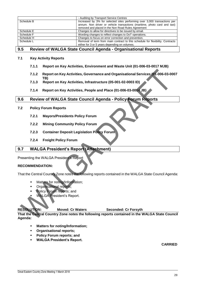|            | - Auditing by Transport Service Centres                                        |
|------------|--------------------------------------------------------------------------------|
| Schedule B | Increased by 3% for selected sites performing over 3,000 transactions per      |
|            | annum. Non driver or vehicle transactions (maritime, photo card and taxi)      |
|            | removed and placed in the Non Road Rules Agreement                             |
| Schedule E | Changes to allow for directives to be issued by email.                         |
| Schedule F | Wording changes to reflect changes to DoT operations.                          |
| Schedule H | Changes to focus on error correction and prevention.                           |
| Schedule L | Removal of term from main contract to this schedule for flexibility. Contracts |
|            | either for 3 or 5 years depending on volumes.                                  |

#### <span id="page-29-0"></span>**9.5 Review of WALGA State Council Agenda - Organisational Reports**

#### **7.1 Key Activity Reports**

**TB)**

- **7.1.1 Report on Key Activities, Environment and Waste Unit (01-006-03-0017 MJB)**
- **7.1.2 Report on Key Activities, Governance and Organisational Services (01-006-03-0007**
- **7.1.3 Report on Key Activities, Infrastructure (05-001-02-0003 ID)**
- **7.1.4 Report on Key Activities, People and Place (01-006-03-0014 JB)**

#### <span id="page-29-1"></span>**9.6 Review of WALGA State Council Agenda - Policy Forum Reports**

- **7.2 Policy Forum Reports**
	- **7.2.1 Mayors/Presidents Policy Forum**
	- **7.2.2 Mining Community Policy Forum**
	- **7.2.3 Container Deposit Legislation Policy Forum**
	- **7.2.4 Freight Policy Forum**

#### <span id="page-29-2"></span>**9.7 WALGA President's Report (Attachment)**

Presenting the WALGA President's Report

#### **RECOMMENDATION:**

That the Central Country Zone notes the following reports contained in the WALGA State Council Agenda:

- Matters for noting/Information;
- Organisational reports;
- Policy Forum reports; and
- WALGA President's Report.

**RESOLUTION: Moved: Cr Waters Seconded: Cr Forsyth**

**That the Central Country Zone notes the following reports contained in the WALGA State Council Agenda:**

- **Matters for noting/Information;**
- **Organisational reports;**
- **Policy Forum reports; and**
- **WALGA President's Report.**

#### **CARRIED**